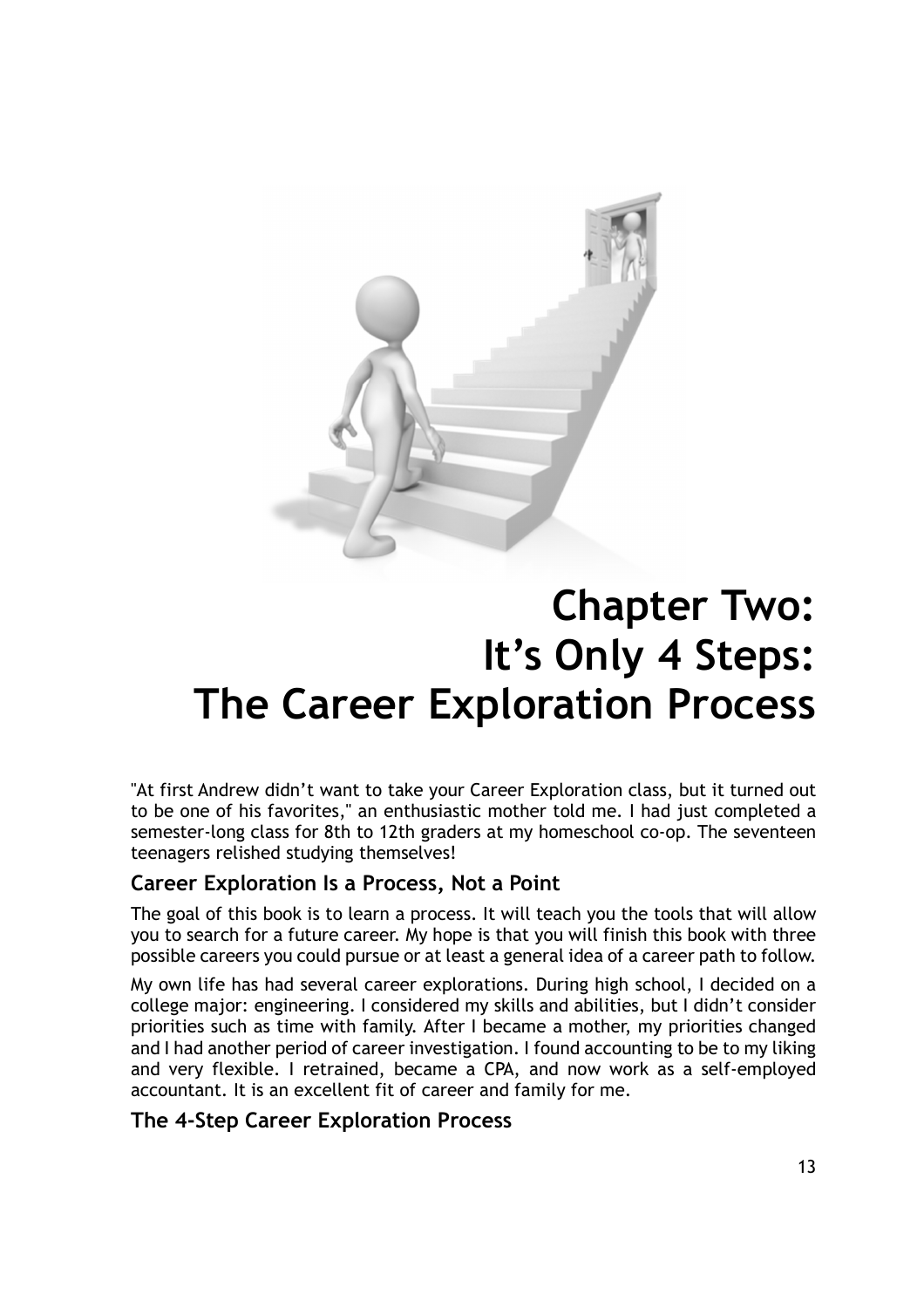

# Chapter Two: It's Only 4 Steps: The Career Exploration Process

"At first Andrew didn't want to take your Career Exploration class, but it turned out to be one of his favorites," an enthusiastic mother told me. I had just completed a semester-long class for 8th to 12th graders at my homeschool co-op. The seventeen teenagers relished studying themselves!

## Career Exploration Is a Process, Not a Point

The goal of this book is to learn a process. It will teach you the tools that will allow you to search for a future career. My hope is that you will finish this book with three possible careers you could pursue or at least a general idea of a career path to follow.

My own life has had several career explorations. During high school, I decided on a college major: engineering. I considered my skills and abilities, but I didn't consider priorities such as time with family. After I became a mother, my priorities changed and I had another period of career investigation. I found accounting to be to my liking and very flexible. I retrained, became a CPA, and now work as a self-employed accountant. It is an excellent fit of career and family for me.

## The 4-Step Career Exploration Process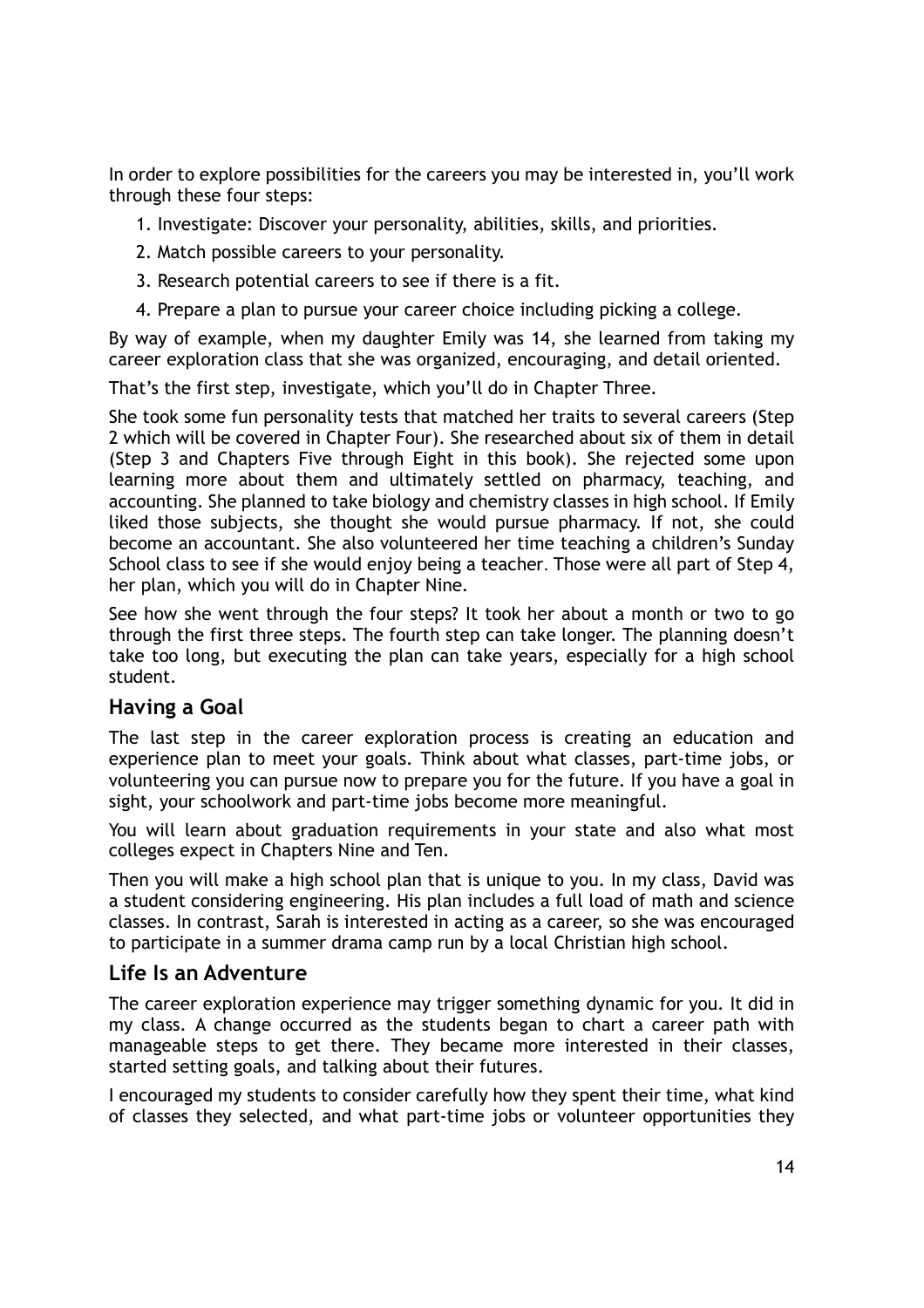In order to explore possibilities for the careers you may be interested in, you'll work through these four steps:

- 1. Investigate: Discover your personality, abilities, skills, and priorities.
- 2. Match possible careers to your personality.
- 3. Research potential careers to see if there is a fit.
- 4. Prepare a plan to pursue your career choice including picking a college.

By way of example, when my daughter Emily was 14, she learned from taking my career exploration class that she was organized, encouraging, and detail oriented.

That's the first step, investigate, which you'll do in Chapter Three.

She took some fun personality tests that matched her traits to several careers (Step 2 which will be covered in Chapter Four). She researched about six of them in detail (Step 3 and Chapters Five through Eight in this book). She rejected some upon learning more about them and ultimately settled on pharmacy, teaching, and accounting. She planned to take biology and chemistry classes in high school. If Emily liked those subjects, she thought she would pursue pharmacy. If not, she could become an accountant. She also volunteered her time teaching a children's Sunday School class to see if she would enjoy being a teacher. Those were all part of Step 4, her plan, which you will do in Chapter Nine.

See how she went through the four steps? It took her about a month or two to go through the first three steps. The fourth step can take longer. The planning doesn't take too long, but executing the plan can take years, especially for a high school student.

### Having a Goal

The last step in the career exploration process is creating an education and experience plan to meet your goals. Think about what classes, part-time jobs, or volunteering you can pursue now to prepare you for the future. If you have a goal in sight, your schoolwork and part-time jobs become more meaningful.

You will learn about graduation requirements in your state and also what most colleges expect in Chapters Nine and Ten.

Then you will make a high school plan that is unique to you. In my class, David was a student considering engineering. His plan includes a full load of math and science classes. In contrast, Sarah is interested in acting as a career, so she was encouraged to participate in a summer drama camp run by a local Christian high school.

### Life Is an Adventure

The career exploration experience may trigger something dynamic for you. It did in my class. A change occurred as the students began to chart a career path with manageable steps to get there. They became more interested in their classes, started setting goals, and talking about their futures.

I encouraged my students to consider carefully how they spent their time, what kind of classes they selected, and what part-time jobs or volunteer opportunities they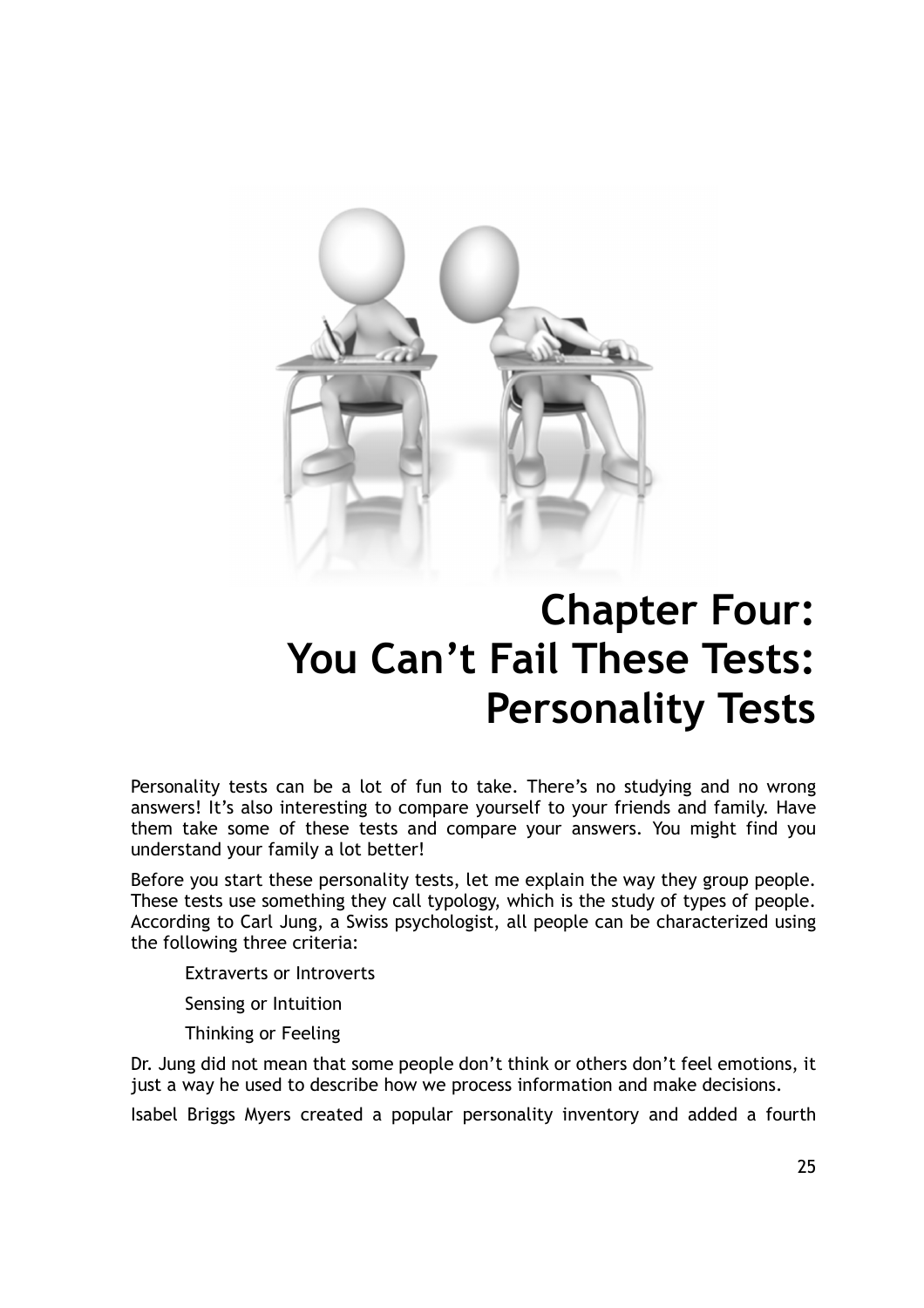

# Chapter Four: You Can't Fail These Tests: Personality Tests

Personality tests can be a lot of fun to take. There's no studying and no wrong answers! It's also interesting to compare yourself to your friends and family. Have them take some of these tests and compare your answers. You might find you understand your family a lot better!

Before you start these personality tests, let me explain the way they group people. These tests use something they call typology, which is the study of types of people. According to Carl Jung, a Swiss psychologist, all people can be characterized using the following three criteria:

Extraverts or Introverts

Sensing or Intuition

Thinking or Feeling

Dr. Jung did not mean that some people don't think or others don't feel emotions, it just a way he used to describe how we process information and make decisions.

Isabel Briggs Myers created a popular personality inventory and added a fourth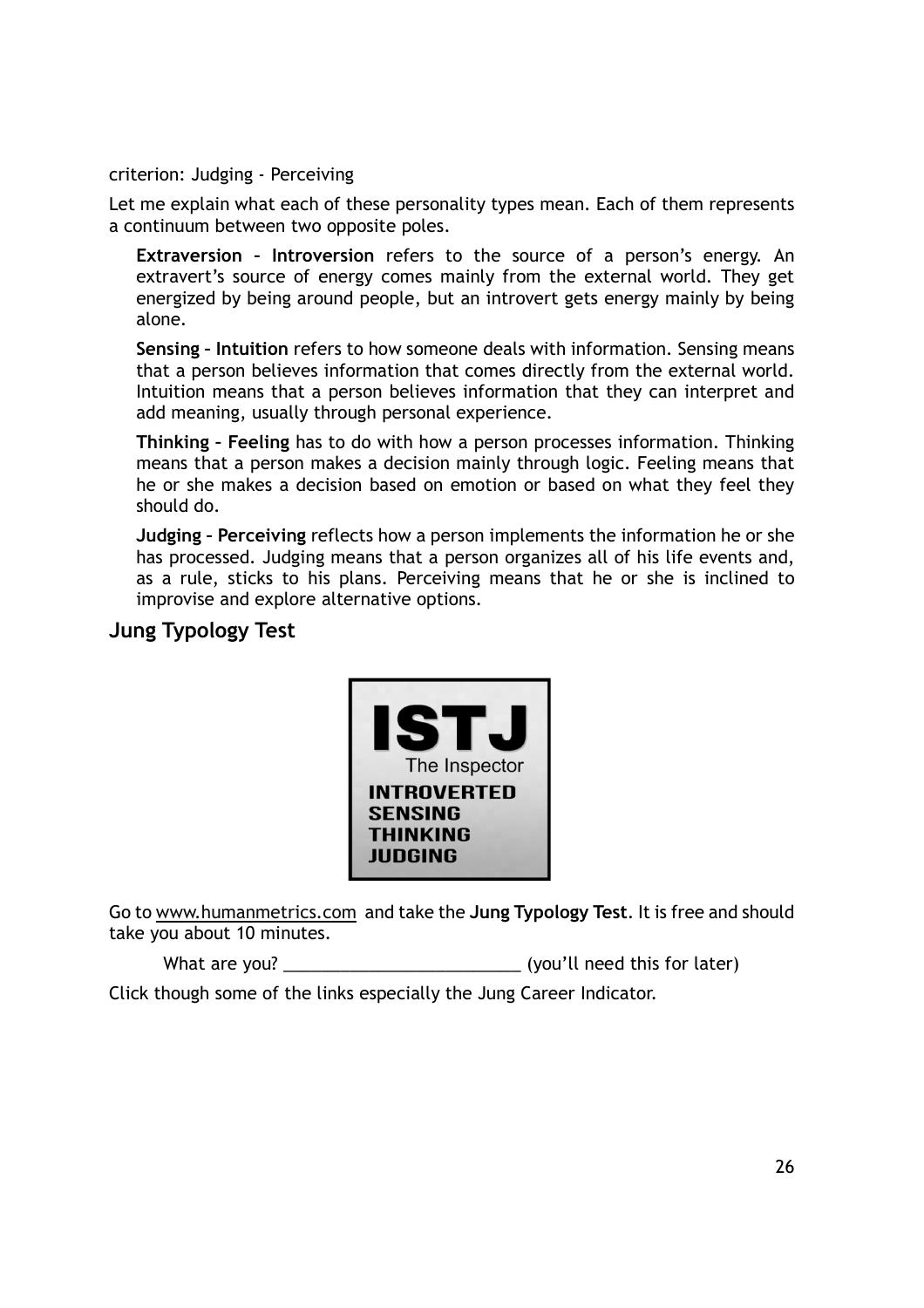criterion: Judging - Perceiving

Let me explain what each of these personality types mean. Each of them represents a continuum between two opposite poles.

Extraversion – Introversion refers to the source of a person's energy. An extravert's source of energy comes mainly from the external world. They get energized by being around people, but an introvert gets energy mainly by being alone.

Sensing – Intuition refers to how someone deals with information. Sensing means that a person believes information that comes directly from the external world. Intuition means that a person believes information that they can interpret and add meaning, usually through personal experience.

Thinking – Feeling has to do with how a person processes information. Thinking means that a person makes a decision mainly through logic. Feeling means that he or she makes a decision based on emotion or based on what they feel they should do.

Judging – Perceiving reflects how a person implements the information he or she has processed. Judging means that a person organizes all of his life events and, as a rule, sticks to his plans. Perceiving means that he or she is inclined to improvise and explore alternative options.

## Jung Typology Test



Go to www.humanmetrics.com and take the Jung Typology Test. It is free and should take you about 10 minutes.

What are you? \_\_\_\_\_\_\_\_\_\_\_\_\_\_\_\_\_\_\_\_\_\_\_\_\_ (you'll need this for later) Click though some of the links especially the Jung Career Indicator.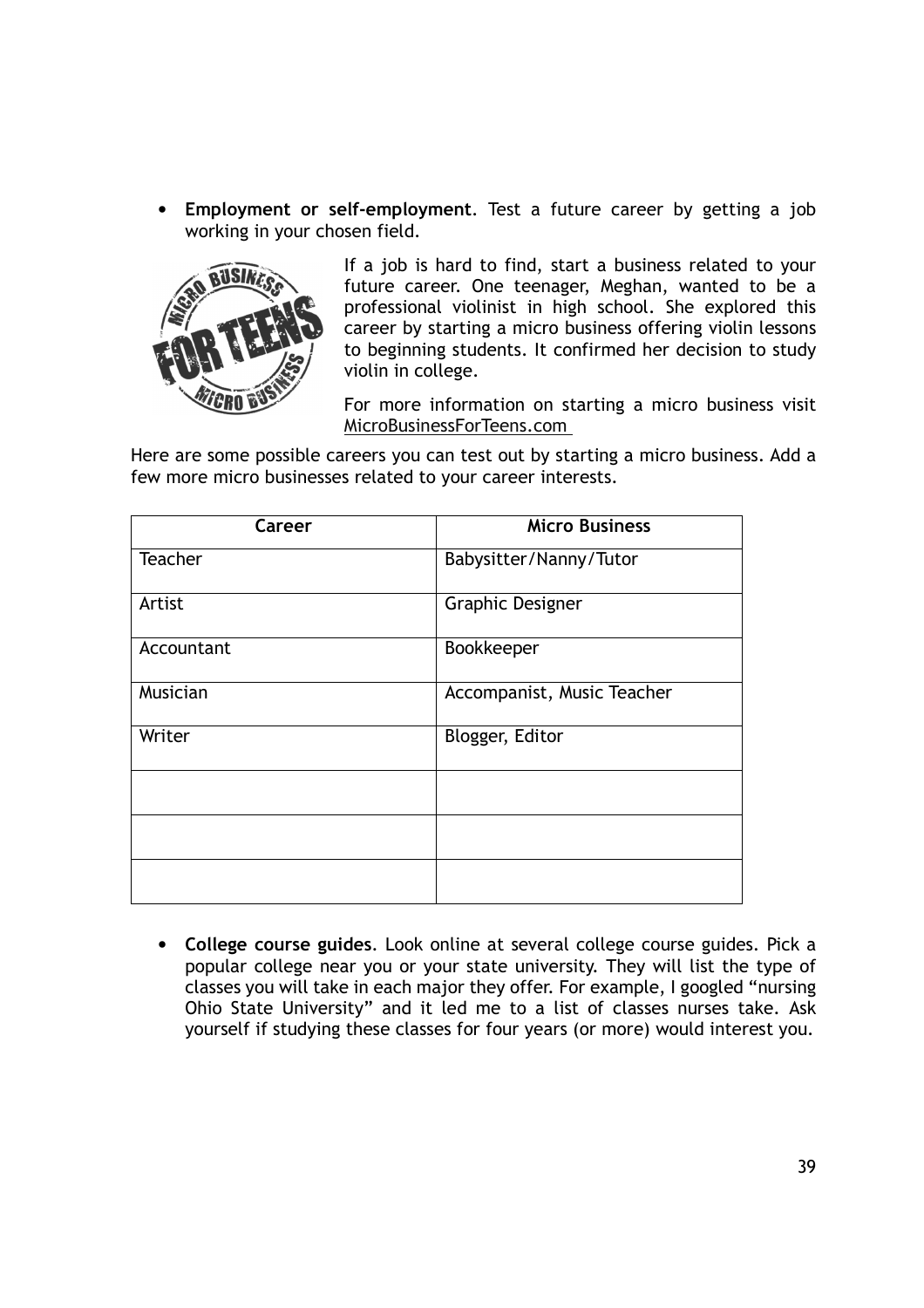• Employment or self-employment. Test a future career by getting a job working in your chosen field.



If a job is hard to find, start a business related to your future career. One teenager, Meghan, wanted to be a professional violinist in high school. She explored this career by starting a micro business offering violin lessons to beginning students. It confirmed her decision to study violin in college.

For more information on starting a micro business visit MicroBusinessForTeens.com

Here are some possible careers you can test out by starting a micro business. Add a few more micro businesses related to your career interests.

| Career     | <b>Micro Business</b>      |
|------------|----------------------------|
| Teacher    | Babysitter/Nanny/Tutor     |
| Artist     | <b>Graphic Designer</b>    |
| Accountant | Bookkeeper                 |
| Musician   | Accompanist, Music Teacher |
| Writer     | Blogger, Editor            |
|            |                            |
|            |                            |
|            |                            |

• College course guides. Look online at several college course guides. Pick a popular college near you or your state university. They will list the type of classes you will take in each major they offer. For example, I googled "nursing Ohio State University" and it led me to a list of classes nurses take. Ask yourself if studying these classes for four years (or more) would interest you.